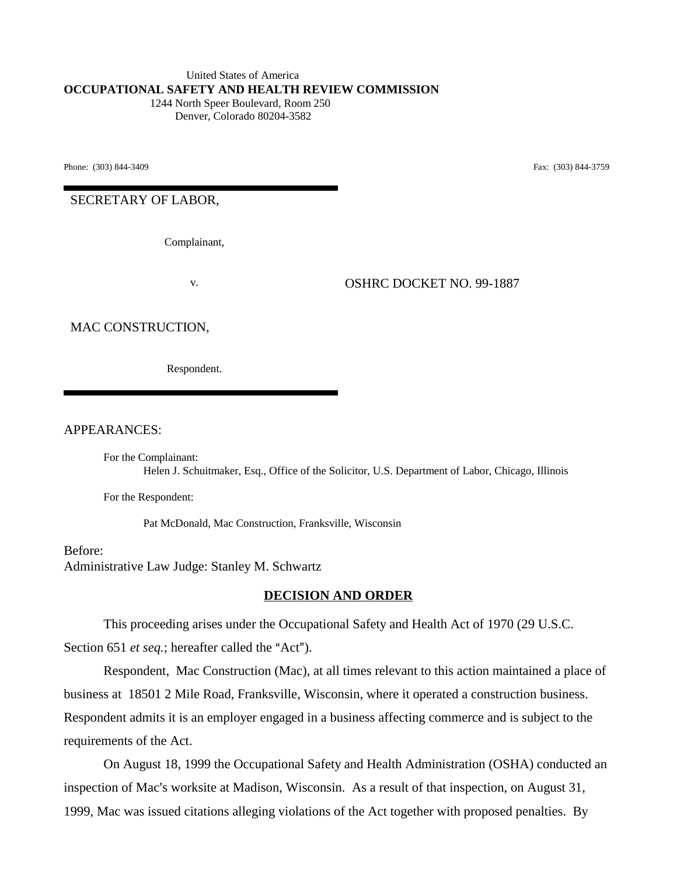#### United States of America **OCCUPATIONAL SAFETY AND HEALTH REVIEW COMMISSION** 1244 North Speer Boulevard, Room 250 Denver, Colorado 80204-3582

Phone: (303) 844-3409 **Fax:** (303) 844-3759

SECRETARY OF LABOR,

Complainant,

v. OSHRC DOCKET NO. 99-1887

### MAC CONSTRUCTION,

Respondent.

APPEARANCES:

For the Complainant: Helen J. Schuitmaker, Esq., Office of the Solicitor, U.S. Department of Labor, Chicago, Illinois

For the Respondent:

Pat McDonald, Mac Construction, Franksville, Wisconsin

Before: Administrative Law Judge: Stanley M. Schwartz

### **DECISION AND ORDER**

This proceeding arises under the Occupational Safety and Health Act of 1970 (29 U.S.C.

Section 651 *et seq.*; hereafter called the "Act").

Respondent, Mac Construction (Mac), at all times relevant to this action maintained a place of business at 18501 2 Mile Road, Franksville, Wisconsin, where it operated a construction business. Respondent admits it is an employer engaged in a business affecting commerce and is subject to the requirements of the Act.

On August 18, 1999 the Occupational Safety and Health Administration (OSHA) conducted an inspection of Mac's worksite at Madison, Wisconsin. As a result of that inspection, on August 31, 1999, Mac was issued citations alleging violations of the Act together with proposed penalties. By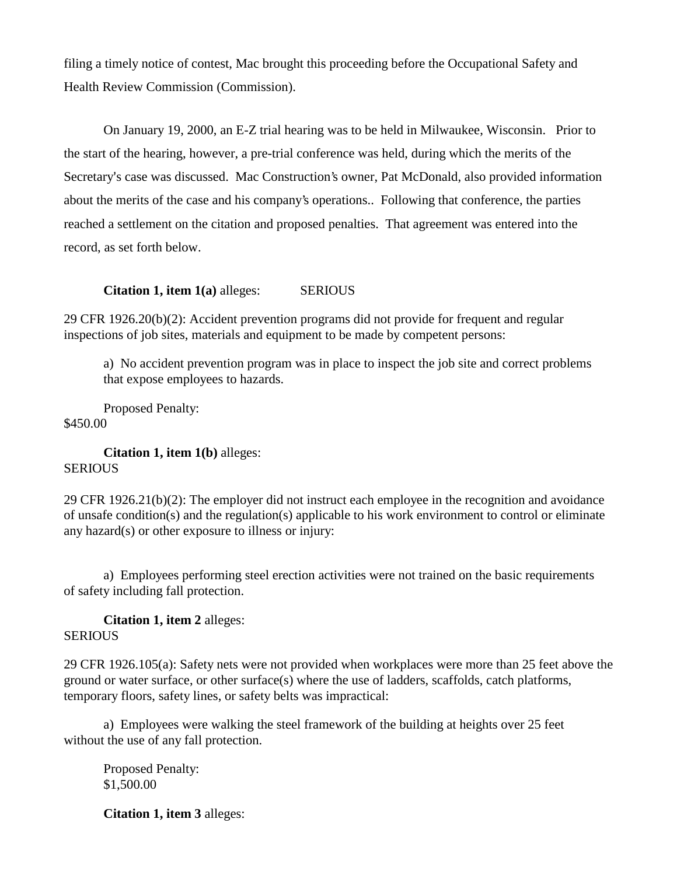filing a timely notice of contest, Mac brought this proceeding before the Occupational Safety and Health Review Commission (Commission).

On January 19, 2000, an E-Z trial hearing was to be held in Milwaukee, Wisconsin. Prior to the start of the hearing, however, a pre-trial conference was held, during which the merits of the Secretary's case was discussed. Mac Construction's owner, Pat McDonald, also provided information about the merits of the case and his company's operations.. Following that conference, the parties reached a settlement on the citation and proposed penalties. That agreement was entered into the record, as set forth below.

**Citation 1, item 1(a)** alleges: SERIOUS

29 CFR 1926.20(b)(2): Accident prevention programs did not provide for frequent and regular inspections of job sites, materials and equipment to be made by competent persons:

a) No accident prevention program was in place to inspect the job site and correct problems that expose employees to hazards.

Proposed Penalty: \$450.00

**Citation 1, item 1(b)** alleges: **SERIOUS** 

29 CFR 1926.21(b)(2): The employer did not instruct each employee in the recognition and avoidance of unsafe condition(s) and the regulation(s) applicable to his work environment to control or eliminate any hazard(s) or other exposure to illness or injury:

a) Employees performing steel erection activities were not trained on the basic requirements of safety including fall protection.

**Citation 1, item 2** alleges: **SERIOUS** 

29 CFR 1926.105(a): Safety nets were not provided when workplaces were more than 25 feet above the ground or water surface, or other surface(s) where the use of ladders, scaffolds, catch platforms, temporary floors, safety lines, or safety belts was impractical:

a) Employees were walking the steel framework of the building at heights over 25 feet without the use of any fall protection.

Proposed Penalty: \$1,500.00

**Citation 1, item 3** alleges: